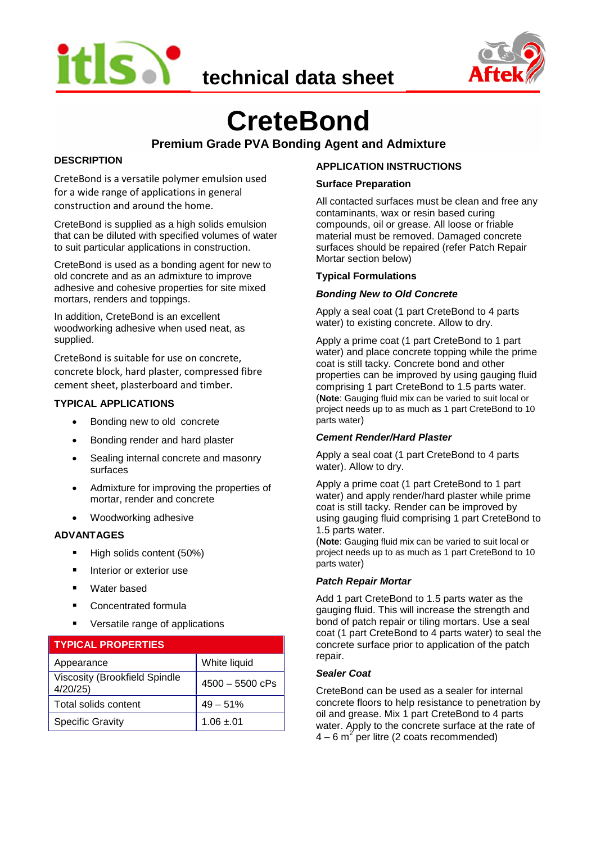





# **CreteBond**

# **Premium Grade PVA Bonding Agent and Admixture**

# **DESCRIPTION**

CreteBond is a versatile polymer emulsion used for a wide range of applications in general construction and around the home.

CreteBond is supplied as a high solids emulsion that can be diluted with specified volumes of water to suit particular applications in construction.

CreteBond is used as a bonding agent for new to old concrete and as an admixture to improve adhesive and cohesive properties for site mixed mortars, renders and toppings.

In addition, CreteBond is an excellent woodworking adhesive when used neat, as supplied.

CreteBond is suitable for use on concrete, concrete block, hard plaster, compressed fibre cement sheet, plasterboard and timber.

# **TYPICAL APPLICATIONS**

- Bonding new to old concrete
- Bonding render and hard plaster
- Sealing internal concrete and masonry surfaces
- Admixture for improving the properties of mortar, render and concrete
- Woodworking adhesive

#### **ADVANTAGES**

- High solids content (50%)
- **Interior or exterior use**
- Water based
- **Concentrated formula**
- Versatile range of applications

| <b>TYPICAL PROPERTIES</b>                       |                   |
|-------------------------------------------------|-------------------|
| Appearance                                      | White liquid      |
| <b>Viscosity (Brookfield Spindle</b><br>4/20/25 | $4500 - 5500$ cPs |
| Total solids content                            | $49 - 51%$        |
| <b>Specific Gravity</b>                         | $1.06 + 01$       |

# **APPLICATION INSTRUCTIONS**

#### **Surface Preparation**

All contacted surfaces must be clean and free any contaminants, wax or resin based curing compounds, oil or grease. All loose or friable material must be removed. Damaged concrete surfaces should be repaired (refer Patch Repair Mortar section below)

#### **Typical Formulations**

# *Bonding New to Old Concrete*

Apply a seal coat (1 part CreteBond to 4 parts water) to existing concrete. Allow to dry.

Apply a prime coat (1 part CreteBond to 1 part water) and place concrete topping while the prime coat is still tacky. Concrete bond and other properties can be improved by using gauging fluid comprising 1 part CreteBond to 1.5 parts water. (**Note**: Gauging fluid mix can be varied to suit local or project needs up to as much as 1 part CreteBond to 10 parts water)

#### *Cement Render/Hard Plaster*

Apply a seal coat (1 part CreteBond to 4 parts water). Allow to dry.

Apply a prime coat (1 part CreteBond to 1 part water) and apply render/hard plaster while prime coat is still tacky. Render can be improved by using gauging fluid comprising 1 part CreteBond to 1.5 parts water.

(**Note**: Gauging fluid mix can be varied to suit local or project needs up to as much as 1 part CreteBond to 10 parts water)

#### *Patch Repair Mortar*

Add 1 part CreteBond to 1.5 parts water as the gauging fluid. This will increase the strength and bond of patch repair or tiling mortars. Use a seal coat (1 part CreteBond to 4 parts water) to seal the concrete surface prior to application of the patch repair.

#### *Sealer Coat*

CreteBond can be used as a sealer for internal concrete floors to help resistance to penetration by oil and grease. Mix 1 part CreteBond to 4 parts water. Apply to the concrete surface at the rate of  $4 - 6$  m<sup>2</sup> per litre (2 coats recommended)